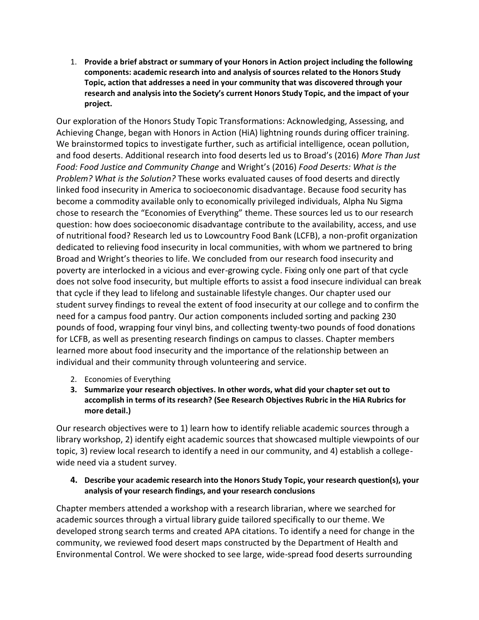1. **Provide a brief abstract or summary of your Honors in Action project including the following components: academic research into and analysis of sources related to the Honors Study Topic, action that addresses a need in your community that was discovered through your research and analysis into the Society's current Honors Study Topic, and the impact of your project.**

Our exploration of the Honors Study Topic Transformations: Acknowledging, Assessing, and Achieving Change, began with Honors in Action (HiA) lightning rounds during officer training. We brainstormed topics to investigate further, such as artificial intelligence, ocean pollution, and food deserts. Additional research into food deserts led us to Broad's (2016) *More Than Just Food: Food Justice and Community Change* and Wright's (2016) *Food Deserts: What is the Problem? What is the Solution?* These works evaluated causes of food deserts and directly linked food insecurity in America to socioeconomic disadvantage. Because food security has become a commodity available only to economically privileged individuals, Alpha Nu Sigma chose to research the "Economies of Everything" theme. These sources led us to our research question: how does socioeconomic disadvantage contribute to the availability, access, and use of nutritional food? Research led us to Lowcountry Food Bank (LCFB), a non-profit organization dedicated to relieving food insecurity in local communities, with whom we partnered to bring Broad and Wright's theories to life. We concluded from our research food insecurity and poverty are interlocked in a vicious and ever-growing cycle. Fixing only one part of that cycle does not solve food insecurity, but multiple efforts to assist a food insecure individual can break that cycle if they lead to lifelong and sustainable lifestyle changes. Our chapter used our student survey findings to reveal the extent of food insecurity at our college and to confirm the need for a campus food pantry. Our action components included sorting and packing 230 pounds of food, wrapping four vinyl bins, and collecting twenty-two pounds of food donations for LCFB, as well as presenting research findings on campus to classes. Chapter members learned more about food insecurity and the importance of the relationship between an individual and their community through volunteering and service.

- 2. Economies of Everything
- **3. Summarize your research objectives. In other words, what did your chapter set out to accomplish in terms of its research? (See Research Objectives Rubric in the HiA Rubrics for more detail.)**

Our research objectives were to 1) learn how to identify reliable academic sources through a library workshop, 2) identify eight academic sources that showcased multiple viewpoints of our topic, 3) review local research to identify a need in our community, and 4) establish a collegewide need via a student survey.

## **4. Describe your academic research into the Honors Study Topic, your research question(s), your analysis of your research findings, and your research conclusions**

Chapter members attended a workshop with a research librarian, where we searched for academic sources through a virtual library guide tailored specifically to our theme. We developed strong search terms and created APA citations. To identify a need for change in the community, we reviewed food desert maps constructed by the Department of Health and Environmental Control. We were shocked to see large, wide-spread food deserts surrounding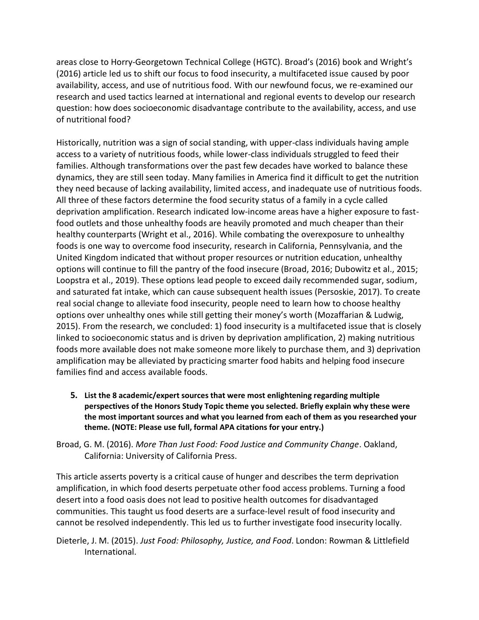areas close to Horry-Georgetown Technical College (HGTC). Broad's (2016) book and Wright's (2016) article led us to shift our focus to food insecurity, a multifaceted issue caused by poor availability, access, and use of nutritious food. With our newfound focus, we re-examined our research and used tactics learned at international and regional events to develop our research question: how does socioeconomic disadvantage contribute to the availability, access, and use of nutritional food?

Historically, nutrition was a sign of social standing, with upper-class individuals having ample access to a variety of nutritious foods, while lower-class individuals struggled to feed their families. Although transformations over the past few decades have worked to balance these dynamics, they are still seen today. Many families in America find it difficult to get the nutrition they need because of lacking availability, limited access, and inadequate use of nutritious foods. All three of these factors determine the food security status of a family in a cycle called deprivation amplification. Research indicated low-income areas have a higher exposure to fastfood outlets and those unhealthy foods are heavily promoted and much cheaper than their healthy counterparts (Wright et al., 2016). While combating the overexposure to unhealthy foods is one way to overcome food insecurity, research in California, Pennsylvania, and the United Kingdom indicated that without proper resources or nutrition education, unhealthy options will continue to fill the pantry of the food insecure (Broad, 2016; Dubowitz et al., 2015; Loopstra et al., 2019). These options lead people to exceed daily recommended sugar, sodium, and saturated fat intake, which can cause subsequent health issues (Persoskie, 2017). To create real social change to alleviate food insecurity, people need to learn how to choose healthy options over unhealthy ones while still getting their money's worth (Mozaffarian & Ludwig, 2015). From the research, we concluded: 1) food insecurity is a multifaceted issue that is closely linked to socioeconomic status and is driven by deprivation amplification, 2) making nutritious foods more available does not make someone more likely to purchase them, and 3) deprivation amplification may be alleviated by practicing smarter food habits and helping food insecure families find and access available foods.

**5. List the 8 academic/expert sources that were most enlightening regarding multiple perspectives of the Honors Study Topic theme you selected. Briefly explain why these were the most important sources and what you learned from each of them as you researched your theme. (NOTE: Please use full, formal APA citations for your entry.)**

Broad, G. M. (2016). *More Than Just Food: Food Justice and Community Change*. Oakland, California: University of California Press.

This article asserts poverty is a critical cause of hunger and describes the term deprivation amplification, in which food deserts perpetuate other food access problems. Turning a food desert into a food oasis does not lead to positive health outcomes for disadvantaged communities. This taught us food deserts are a surface-level result of food insecurity and cannot be resolved independently. This led us to further investigate food insecurity locally.

Dieterle, J. M. (2015). *Just Food: Philosophy, Justice, and Food*. London: Rowman & Littlefield International.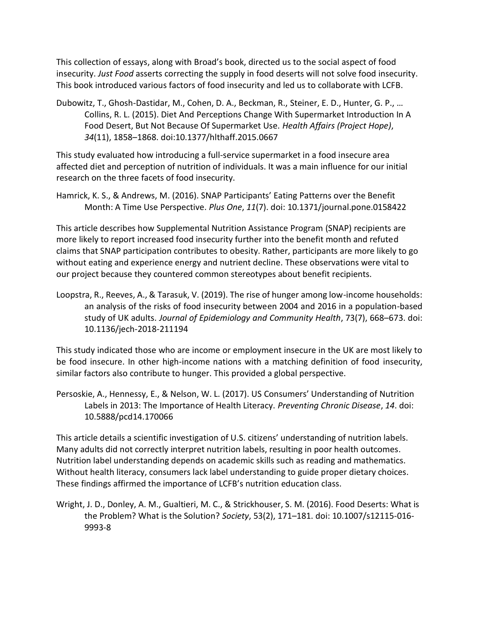This collection of essays, along with Broad's book, directed us to the social aspect of food insecurity. *Just Food* asserts correcting the supply in food deserts will not solve food insecurity. This book introduced various factors of food insecurity and led us to collaborate with LCFB.

Dubowitz, T., Ghosh-Dastidar, M., Cohen, D. A., Beckman, R., Steiner, E. D., Hunter, G. P., … Collins, R. L. (2015). Diet And Perceptions Change With Supermarket Introduction In A Food Desert, But Not Because Of Supermarket Use. *Health Affairs (Project Hope)*, *34*(11), 1858–1868. doi:10.1377/hlthaff.2015.0667

This study evaluated how introducing a full-service supermarket in a food insecure area affected diet and perception of nutrition of individuals. It was a main influence for our initial research on the three facets of food insecurity.

Hamrick, K. S., & Andrews, M. (2016). SNAP Participants' Eating Patterns over the Benefit Month: A Time Use Perspective. *Plus One*, *11*(7). doi: 10.1371/journal.pone.0158422

This article describes how Supplemental Nutrition Assistance Program (SNAP) recipients are more likely to report increased food insecurity further into the benefit month and refuted claims that SNAP participation contributes to obesity. Rather, participants are more likely to go without eating and experience energy and nutrient decline. These observations were vital to our project because they countered common stereotypes about benefit recipients.

Loopstra, R., Reeves, A., & Tarasuk, V. (2019). The rise of hunger among low-income households: an analysis of the risks of food insecurity between 2004 and 2016 in a population-based study of UK adults. *Journal of Epidemiology and Community Health*, 73(7), 668–673. doi: 10.1136/jech-2018-211194

This study indicated those who are income or employment insecure in the UK are most likely to be food insecure. In other high-income nations with a matching definition of food insecurity, similar factors also contribute to hunger. This provided a global perspective.

Persoskie, A., Hennessy, E., & Nelson, W. L. (2017). US Consumers' Understanding of Nutrition Labels in 2013: The Importance of Health Literacy. *Preventing Chronic Disease*, *14*. doi: 10.5888/pcd14.170066

This article details a scientific investigation of U.S. citizens' understanding of nutrition labels. Many adults did not correctly interpret nutrition labels, resulting in poor health outcomes. Nutrition label understanding depends on academic skills such as reading and mathematics. Without health literacy, consumers lack label understanding to guide proper dietary choices. These findings affirmed the importance of LCFB's nutrition education class.

Wright, J. D., Donley, A. M., Gualtieri, M. C., & Strickhouser, S. M. (2016). Food Deserts: What is the Problem? What is the Solution? *Society*, 53(2), 171–181. doi: 10.1007/s12115-016- 9993-8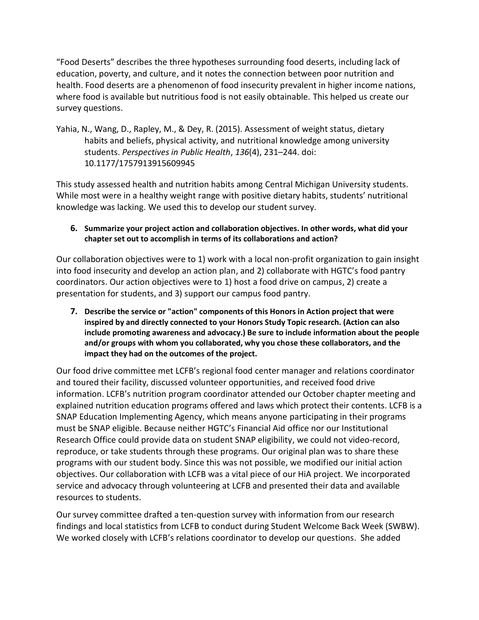"Food Deserts" describes the three hypotheses surrounding food deserts, including lack of education, poverty, and culture, and it notes the connection between poor nutrition and health. Food deserts are a phenomenon of food insecurity prevalent in higher income nations, where food is available but nutritious food is not easily obtainable. This helped us create our survey questions.

Yahia, N., Wang, D., Rapley, M., & Dey, R. (2015). Assessment of weight status, dietary habits and beliefs, physical activity, and nutritional knowledge among university students. *Perspectives in Public Health*, *136*(4), 231–244. doi: 10.1177/1757913915609945

This study assessed health and nutrition habits among Central Michigan University students. While most were in a healthy weight range with positive dietary habits, students' nutritional knowledge was lacking. We used this to develop our student survey.

## **6. Summarize your project action and collaboration objectives. In other words, what did your chapter set out to accomplish in terms of its collaborations and action?**

Our collaboration objectives were to 1) work with a local non-profit organization to gain insight into food insecurity and develop an action plan, and 2) collaborate with HGTC's food pantry coordinators. Our action objectives were to 1) host a food drive on campus, 2) create a presentation for students, and 3) support our campus food pantry.

**7. Describe the service or "action" components of this Honors in Action project that were inspired by and directly connected to your Honors Study Topic research. (Action can also include promoting awareness and advocacy.) Be sure to include information about the people and/or groups with whom you collaborated, why you chose these collaborators, and the impact they had on the outcomes of the project.**

Our food drive committee met LCFB's regional food center manager and relations coordinator and toured their facility, discussed volunteer opportunities, and received food drive information. LCFB's nutrition program coordinator attended our October chapter meeting and explained nutrition education programs offered and laws which protect their contents. LCFB is a SNAP Education Implementing Agency, which means anyone participating in their programs must be SNAP eligible. Because neither HGTC's Financial Aid office nor our Institutional Research Office could provide data on student SNAP eligibility, we could not video-record, reproduce, or take students through these programs. Our original plan was to share these programs with our student body. Since this was not possible, we modified our initial action objectives. Our collaboration with LCFB was a vital piece of our HiA project. We incorporated service and advocacy through volunteering at LCFB and presented their data and available resources to students.

Our survey committee drafted a ten-question survey with information from our research findings and local statistics from LCFB to conduct during Student Welcome Back Week (SWBW). We worked closely with LCFB's relations coordinator to develop our questions. She added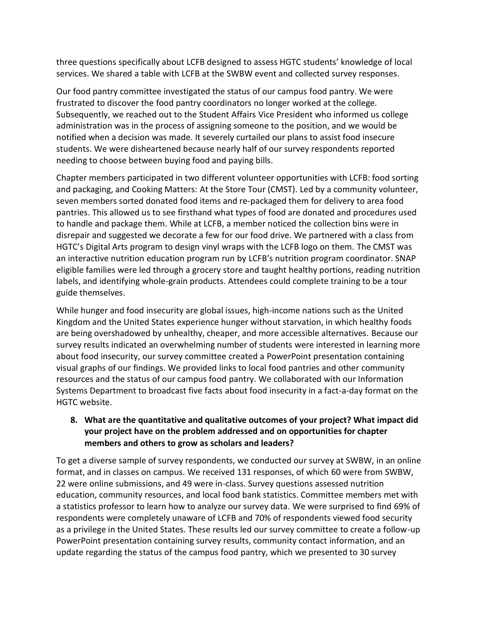three questions specifically about LCFB designed to assess HGTC students' knowledge of local services. We shared a table with LCFB at the SWBW event and collected survey responses.

Our food pantry committee investigated the status of our campus food pantry. We were frustrated to discover the food pantry coordinators no longer worked at the college. Subsequently, we reached out to the Student Affairs Vice President who informed us college administration was in the process of assigning someone to the position, and we would be notified when a decision was made. It severely curtailed our plans to assist food insecure students. We were disheartened because nearly half of our survey respondents reported needing to choose between buying food and paying bills.

Chapter members participated in two different volunteer opportunities with LCFB: food sorting and packaging, and Cooking Matters: At the Store Tour (CMST). Led by a community volunteer, seven members sorted donated food items and re-packaged them for delivery to area food pantries. This allowed us to see firsthand what types of food are donated and procedures used to handle and package them. While at LCFB, a member noticed the collection bins were in disrepair and suggested we decorate a few for our food drive. We partnered with a class from HGTC's Digital Arts program to design vinyl wraps with the LCFB logo on them. The CMST was an interactive nutrition education program run by LCFB's nutrition program coordinator. SNAP eligible families were led through a grocery store and taught healthy portions, reading nutrition labels, and identifying whole-grain products. Attendees could complete training to be a tour guide themselves.

While hunger and food insecurity are global issues, high-income nations such as the United Kingdom and the United States experience hunger without starvation, in which healthy foods are being overshadowed by unhealthy, cheaper, and more accessible alternatives. Because our survey results indicated an overwhelming number of students were interested in learning more about food insecurity, our survey committee created a PowerPoint presentation containing visual graphs of our findings. We provided links to local food pantries and other community resources and the status of our campus food pantry. We collaborated with our Information Systems Department to broadcast five facts about food insecurity in a fact-a-day format on the HGTC website.

## **8. What are the quantitative and qualitative outcomes of your project? What impact did your project have on the problem addressed and on opportunities for chapter members and others to grow as scholars and leaders?**

To get a diverse sample of survey respondents, we conducted our survey at SWBW, in an online format, and in classes on campus. We received 131 responses, of which 60 were from SWBW, 22 were online submissions, and 49 were in-class. Survey questions assessed nutrition education, community resources, and local food bank statistics. Committee members met with a statistics professor to learn how to analyze our survey data. We were surprised to find 69% of respondents were completely unaware of LCFB and 70% of respondents viewed food security as a privilege in the United States. These results led our survey committee to create a follow-up PowerPoint presentation containing survey results, community contact information, and an update regarding the status of the campus food pantry, which we presented to 30 survey